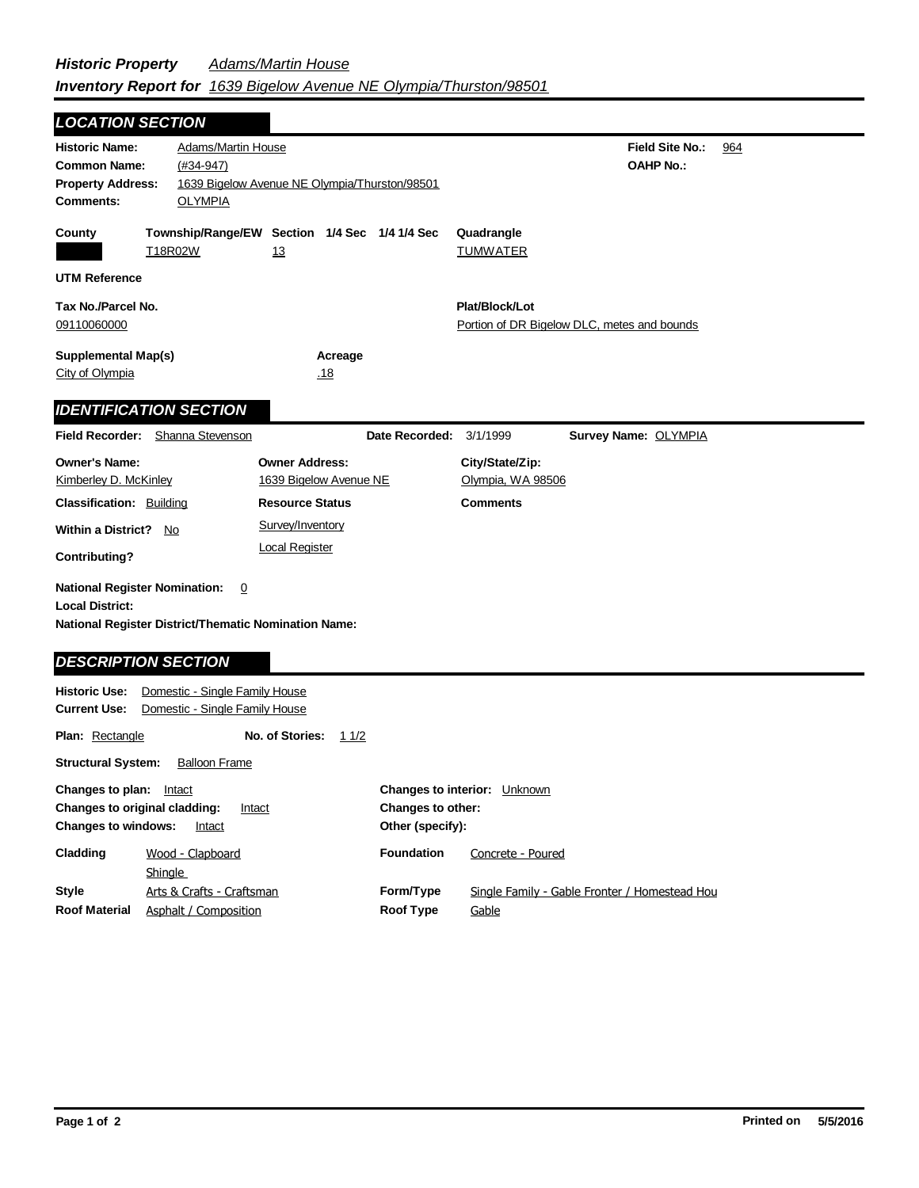| <b>LOCATION SECTION</b>                                                                      |                                                                  |                                                     |                                       |                                      |                                               |     |
|----------------------------------------------------------------------------------------------|------------------------------------------------------------------|-----------------------------------------------------|---------------------------------------|--------------------------------------|-----------------------------------------------|-----|
| <b>Historic Name:</b><br><b>Common Name:</b><br><b>Property Address:</b><br><b>Comments:</b> | <b>Adams/Martin House</b><br>$(#34-947)$<br><b>OLYMPIA</b>       | 1639 Bigelow Avenue NE Olympia/Thurston/98501       |                                       |                                      | <b>Field Site No.:</b><br><b>OAHP No.:</b>    | 964 |
| County                                                                                       | T18R02W                                                          | Township/Range/EW Section 1/4 Sec 1/4 1/4 Sec<br>13 |                                       | Quadrangle<br><b>TUMWATER</b>        |                                               |     |
| <b>UTM Reference</b>                                                                         |                                                                  |                                                     |                                       |                                      |                                               |     |
| Tax No./Parcel No.<br>09110060000                                                            |                                                                  |                                                     |                                       | Plat/Block/Lot                       | Portion of DR Bigelow DLC, metes and bounds   |     |
| <b>Supplemental Map(s)</b><br>City of Olympia                                                |                                                                  | Acreage<br><u>.18</u>                               |                                       |                                      |                                               |     |
|                                                                                              | <b>IDENTIFICATION SECTION</b>                                    |                                                     |                                       |                                      |                                               |     |
|                                                                                              | Field Recorder: Shanna Stevenson                                 |                                                     | Date Recorded:                        | 3/1/1999                             | Survey Name: OLYMPIA                          |     |
| <b>Owner's Name:</b><br>Kimberley D. McKinley                                                |                                                                  | <b>Owner Address:</b><br>1639 Bigelow Avenue NE     |                                       | City/State/Zip:<br>Olympia, WA 98506 |                                               |     |
| <b>Classification: Building</b>                                                              |                                                                  | <b>Resource Status</b>                              |                                       | <b>Comments</b>                      |                                               |     |
| <b>Within a District?</b>                                                                    | $\underline{\mathsf{No}}$                                        | Survey/Inventory                                    |                                       |                                      |                                               |     |
| <b>Contributing?</b>                                                                         |                                                                  | <b>Local Register</b>                               |                                       |                                      |                                               |     |
| <b>National Register Nomination:</b><br><b>Local District:</b><br><b>DESCRIPTION SECTION</b> | 0<br><b>National Register District/Thematic Nomination Name:</b> |                                                     |                                       |                                      |                                               |     |
| <b>Historic Use:</b>                                                                         | Domestic - Single Family House                                   |                                                     |                                       |                                      |                                               |     |
| <b>Current Use:</b>                                                                          | Domestic - Single Family House                                   |                                                     |                                       |                                      |                                               |     |
| Plan: Rectangle                                                                              |                                                                  | No. of Stories:<br>11/2                             |                                       |                                      |                                               |     |
| <b>Structural System:</b>                                                                    | <b>Balloon Frame</b>                                             |                                                     |                                       |                                      |                                               |     |
| Changes to plan: Intact<br>Changes to original cladding:<br><b>Changes to windows:</b>       | Intact                                                           | Intact                                              | Changes to other:<br>Other (specify): | <b>Changes to interior: Unknown</b>  |                                               |     |
| Cladding                                                                                     | Wood - Clapboard<br><b>Shingle</b>                               |                                                     | <b>Foundation</b>                     | Concrete - Poured                    |                                               |     |
| <b>Style</b><br><b>Roof Material</b>                                                         | Arts & Crafts - Craftsman<br><b>Asphalt / Composition</b>        |                                                     | Form/Type<br><b>Roof Type</b>         | Gable                                | Single Family - Gable Fronter / Homestead Hou |     |